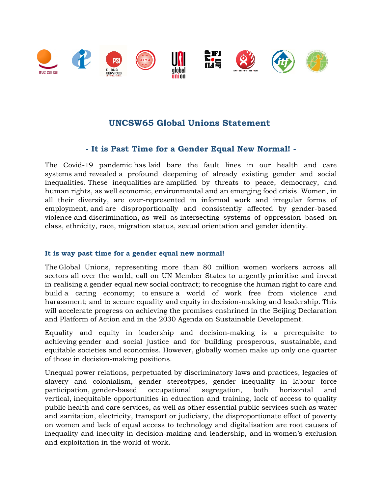

# **UNCSW65 Global Unions Statement**

## **- It is Past Time for a Gender Equal New Normal! -**

The Covid-19 pandemic has laid bare the fault lines in our health and care systems and revealed a profound deepening of already existing gender and social inequalities. These inequalities are amplified by threats to peace, democracy, and human rights, as well economic, environmental and an emerging food crisis. Women, in all their diversity, are over-represented in informal work and irregular forms of employment, and are disproportionally and consistently affected by gender-based violence and discrimination, as well as intersecting systems of oppression based on class, ethnicity, race, migration status, sexual orientation and gender identity.

## **It is way past time for a gender equal new normal!**

The Global Unions, representing more than 80 million women workers across all sectors all over the world, call on UN Member States to urgently prioritise and invest in realising a gender equal new social contract; to recognise the human right to care and build a caring economy; to ensure a world of work free from violence and harassment; and to secure equality and equity in decision-making and leadership. This will accelerate progress on achieving the promises enshrined in the Beijing Declaration and Platform of Action and in the 2030 Agenda on Sustainable Development.

Equality and equity in leadership and decision-making is a prerequisite to achieving gender and social justice and for building prosperous, sustainable, and equitable societies and economies. However, globally women make up only one quarter of those in decision-making positions.

Unequal power relations, perpetuated by discriminatory laws and practices, legacies of slavery and colonialism, gender stereotypes, gender inequality in labour force participation, gender-based occupational segregation, both horizontal and vertical, inequitable opportunities in education and training, lack of access to quality public health and care services, as well as other essential public services such as water and sanitation, electricity, transport or judiciary, the disproportionate effect of poverty on women and lack of equal access to technology and digitalisation are root causes of inequality and inequity in decision-making and leadership, and in women's exclusion and exploitation in the world of work.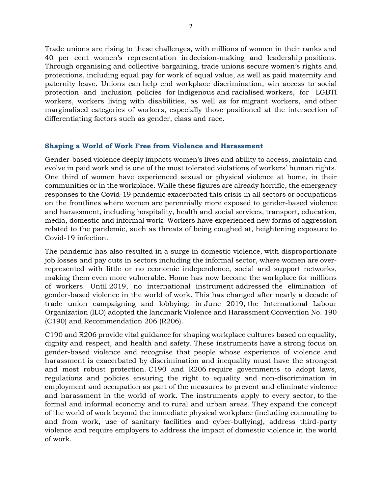Trade unions are rising to these challenges, with millions of women in their ranks and 40 per cent women's representation in decision-making and leadership positions. Through organising and collective bargaining, trade unions secure women's rights and protections, including equal pay for work of equal value, as well as paid maternity and paternity leave. Unions can help end workplace discrimination, win access to social protection and inclusion policies for Indigenous and racialised workers, for LGBTI workers, workers living with disabilities, as well as for migrant workers, and other marginalised categories of workers, especially those positioned at the intersection of differentiating factors such as gender, class and race.  

### **Shaping a World of Work Free from Violence and Harassment**

Gender-based violence deeply impacts women's lives and ability to access, maintain and evolve in paid work and is one of the most tolerated violations of workers' human rights. One third of women have experienced sexual or physical violence at home, in their communities or in the workplace. While these figures are already horrific, the emergency responses to the Covid-19 pandemic exacerbated this crisis in all sectors or occupations on the frontlines where women are perennially more exposed to gender-based violence and harassment, including hospitality, health and social services, transport, education, media, domestic and informal work. Workers have experienced new forms of aggression related to the pandemic, such as threats of being coughed at, heightening exposure to Covid-19 infection.

The pandemic has also resulted in a surge in domestic violence, with disproportionate job losses and pay cuts in sectors including the informal sector, where women are overrepresented with little or no economic independence, social and support networks, making them even more vulnerable. Home has now become the workplace for millions of workers. Until 2019, no international instrument addressed the elimination of gender-based violence in the world of work. This has changed after nearly a decade of trade union campaigning and lobbying: in June 2019, the International Labour Organization (ILO) adopted the landmark Violence and Harassment Convention No. 190 (C190) and Recommendation 206 (R206).

C190 and R206 provide vital guidance for shaping workplace cultures based on equality, dignity and respect, and health and safety. These instruments have a strong focus on gender-based violence and recognise that people whose experience of violence and harassment is exacerbated by discrimination and inequality must have the strongest and most robust protection. C190 and R206 require governments to adopt laws, regulations and policies ensuring the right to equality and non-discrimination in employment and occupation as part of the measures to prevent and eliminate violence and harassment in the world of work. The instruments apply to every sector, to the formal and informal economy and to rural and urban areas. They expand the concept of the world of work beyond the immediate physical workplace (including commuting to and from work, use of sanitary facilities and cyber-bullying), address third-party violence and require employers to address the impact of domestic violence in the world of work.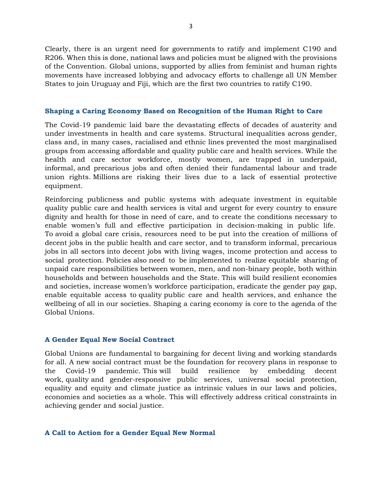Clearly, there is an urgent need for governments to ratify and implement C190 and R206. When this is done, national laws and policies must be aligned with the provisions of the Convention. Global unions, supported by allies from feminist and human rights movements have increased lobbying and advocacy efforts to challenge all UN Member States to join Uruguay and Fiji, which are the first two countries to ratify C190.

#### **Shaping a Caring Economy Based on Recognition of the Human Right to Care**

The Covid-19 pandemic laid bare the devastating effects of decades of austerity and under investments in health and care systems. Structural inequalities across gender, class and, in many cases, racialised and ethnic lines prevented the most marginalised groups from accessing affordable and quality public care and health services. While the health and care sector workforce, mostly women, are trapped in underpaid, informal, and precarious jobs and often denied their fundamental labour and trade union rights. Millions are risking their lives due to a lack of essential protective equipment.

Reinforcing publicness and public systems with adequate investment in equitable quality public care and health services is vital and urgent for every country to ensure dignity and health for those in need of care, and to create the conditions necessary to enable women's full and effective participation in decision-making in public life. To avoid a global care crisis, resources need to be put into the creation of millions of decent jobs in the public health and care sector, and to transform informal, precarious jobs in all sectors into decent jobs with living wages, income protection and access to social protection. Policies also need to be implemented to realize equitable sharing of unpaid care responsibilities between women, men, and non-binary people, both within households and between households and the State. This will build resilient economies and societies, increase women's workforce participation, eradicate the gender pay gap, enable equitable access to quality public care and health services, and enhance the wellbeing of all in our societies. Shaping a caring economy is core to the agenda of the Global Unions.

## **A Gender Equal New Social Contract**

Global Unions are fundamental to bargaining for decent living and working standards for all. A new social contract must be the foundation for recovery plans in response to the Covid-19 pandemic. This will build resilience by embedding decent work, quality and gender-responsive public services, universal social protection, equality and equity and climate justice as intrinsic values in our laws and policies, economies and societies as a whole. This will effectively address critical constraints in achieving gender and social justice.

#### **A Call to Action for a Gender Equal New Normal**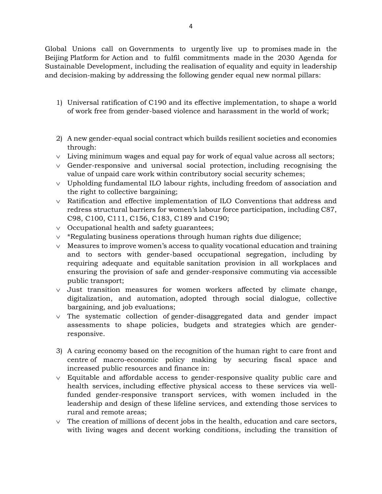Global Unions call on Governments to urgently live up to promises made in the Beijing Platform for Action and to fulfil commitments made in the 2030 Agenda for Sustainable Development, including the realisation of equality and equity in leadership and decision-making by addressing the following gender equal new normal pillars:

- 1) Universal ratification of C190 and its effective implementation, to shape a world of work free from gender-based violence and harassment in the world of work;
- 2) A new gender-equal social contract which builds resilient societies and economies through:
- ∨ Living minimum wages and equal pay for work of equal value across all sectors;
- ∨ Gender-responsive and universal social protection, including recognising the value of unpaid care work within contributory social security schemes;
- ∨ Upholding fundamental ILO labour rights, including freedom of association and the right to collective bargaining;
- ∨ Ratification and effective implementation of ILO Conventions that address and redress structural barriers for women's labour force participation, including C87, C98, C100, C111, C156, C183, C189 and C190;
- ∨ Occupational health and safety guarantees;
- ∨ \*Regulating business operations through human rights due diligence;
- $\vee$  Measures to improve women's access to quality vocational education and training and to sectors with gender-based occupational segregation, including by requiring adequate and equitable sanitation provision in all workplaces and ensuring the provision of safe and gender-responsive commuting via accessible public transport;
- ∨ Just transition measures for women workers affected by climate change, digitalization, and automation, adopted through social dialogue, collective bargaining, and job evaluations;
- ∨ The systematic collection of gender-disaggregated data and gender impact assessments to shape policies, budgets and strategies which are genderresponsive.
- 3) A caring economy based on the recognition of the human right to care front and centre of macro-economic policy making by securing fiscal space and increased public resources and finance in:
- ∨ Equitable and affordable access to gender-responsive quality public care and health services, including effective physical access to these services via wellfunded gender-responsive transport services, with women included in the leadership and design of these lifeline services, and extending those services to rural and remote areas;
- $\vee$  The creation of millions of decent jobs in the health, education and care sectors, with living wages and decent working conditions, including the transition of